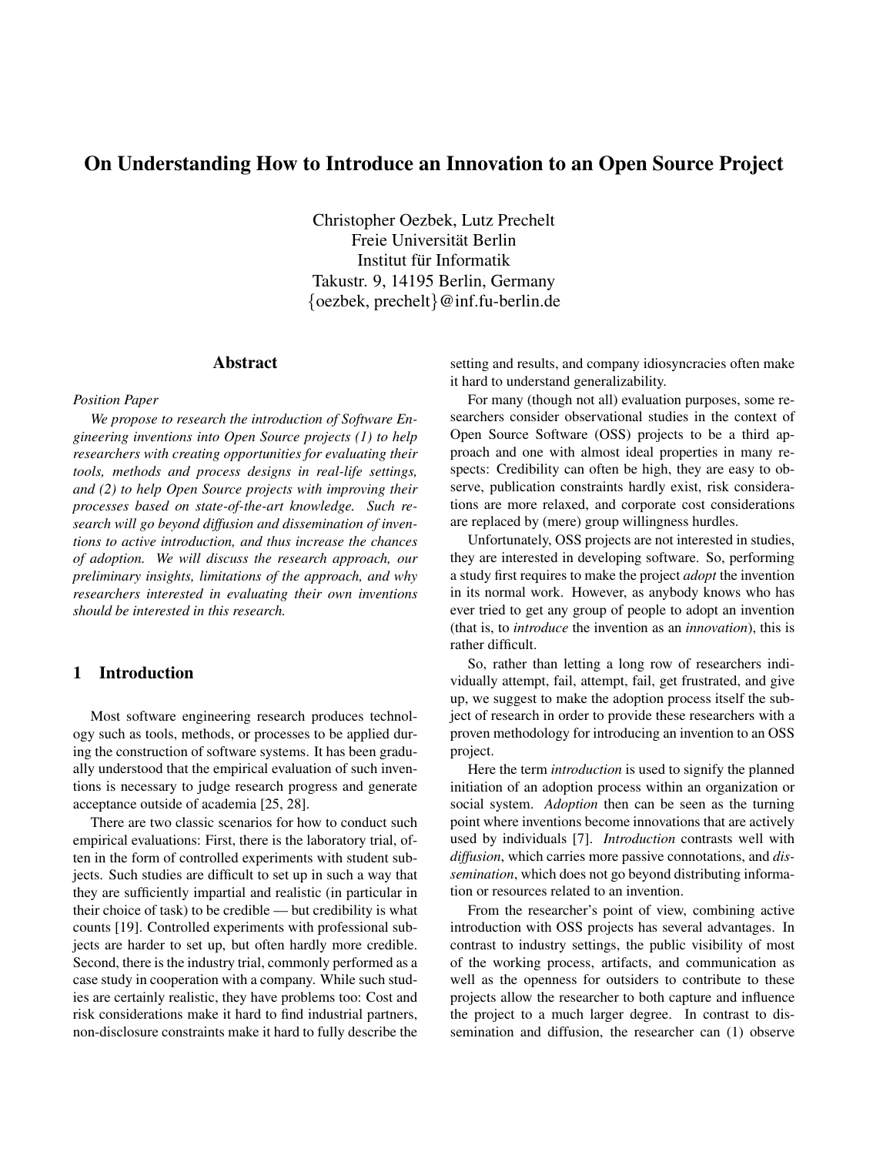# On Understanding How to Introduce an Innovation to an Open Source Project

Christopher Oezbek, Lutz Prechelt Freie Universität Berlin Institut für Informatik Takustr. 9, 14195 Berlin, Germany {[oezbek,](mailto:oezbek@inf.fu-berlin.de) [prechelt](mailto:prechelt@inf.fu-berlin.de)}@inf.fu-berlin.de

### Abstract

#### *Position Paper*

*We propose to research the introduction of Software Engineering inventions into Open Source projects (1) to help researchers with creating opportunities for evaluating their tools, methods and process designs in real-life settings, and (2) to help Open Source projects with improving their processes based on state-of-the-art knowledge. Such research will go beyond diffusion and dissemination of inventions to active introduction, and thus increase the chances of adoption. We will discuss the research approach, our preliminary insights, limitations of the approach, and why researchers interested in evaluating their own inventions should be interested in this research.*

#### 1 Introduction

Most software engineering research produces technology such as tools, methods, or processes to be applied during the construction of software systems. It has been gradually understood that the empirical evaluation of such inventions is necessary to judge research progress and generate acceptance outside of academia [\[25,](#page-4-0) [28\]](#page-4-1).

There are two classic scenarios for how to conduct such empirical evaluations: First, there is the laboratory trial, often in the form of controlled experiments with student subjects. Such studies are difficult to set up in such a way that they are sufficiently impartial and realistic (in particular in their choice of task) to be credible — but credibility is what counts [\[19\]](#page-4-2). Controlled experiments with professional subjects are harder to set up, but often hardly more credible. Second, there is the industry trial, commonly performed as a case study in cooperation with a company. While such studies are certainly realistic, they have problems too: Cost and risk considerations make it hard to find industrial partners, non-disclosure constraints make it hard to fully describe the

setting and results, and company idiosyncracies often make it hard to understand generalizability.

For many (though not all) evaluation purposes, some researchers consider observational studies in the context of Open Source Software (OSS) projects to be a third approach and one with almost ideal properties in many respects: Credibility can often be high, they are easy to observe, publication constraints hardly exist, risk considerations are more relaxed, and corporate cost considerations are replaced by (mere) group willingness hurdles.

Unfortunately, OSS projects are not interested in studies, they are interested in developing software. So, performing a study first requires to make the project *adopt* the invention in its normal work. However, as anybody knows who has ever tried to get any group of people to adopt an invention (that is, to *introduce* the invention as an *innovation*), this is rather difficult.

So, rather than letting a long row of researchers individually attempt, fail, attempt, fail, get frustrated, and give up, we suggest to make the adoption process itself the subject of research in order to provide these researchers with a proven methodology for introducing an invention to an OSS project.

Here the term *introduction* is used to signify the planned initiation of an adoption process within an organization or social system. *Adoption* then can be seen as the turning point where inventions become innovations that are actively used by individuals [\[7\]](#page-4-3). *Introduction* contrasts well with *diffusion*, which carries more passive connotations, and *dissemination*, which does not go beyond distributing information or resources related to an invention.

From the researcher's point of view, combining active introduction with OSS projects has several advantages. In contrast to industry settings, the public visibility of most of the working process, artifacts, and communication as well as the openness for outsiders to contribute to these projects allow the researcher to both capture and influence the project to a much larger degree. In contrast to dissemination and diffusion, the researcher can (1) observe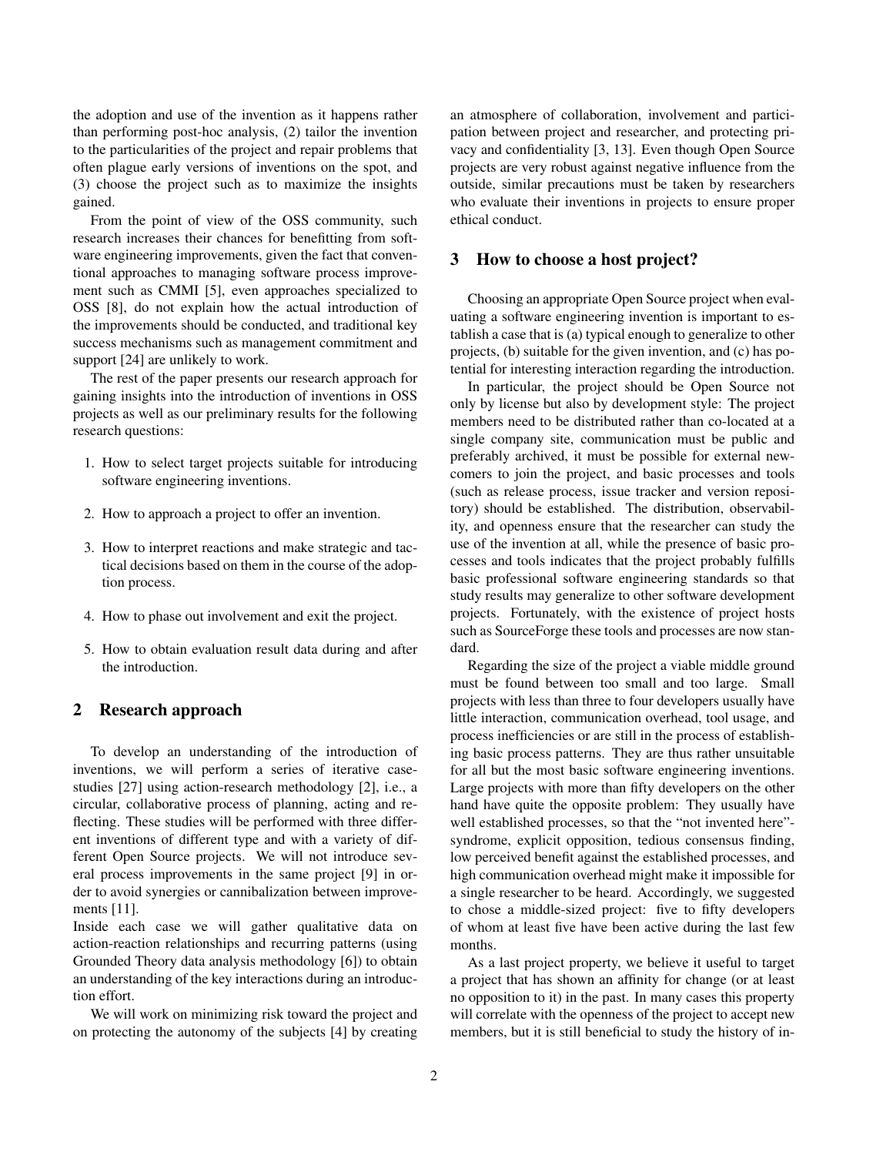the adoption and use of the invention as it happens rather than performing post-hoc analysis, (2) tailor the invention to the particularities of the project and repair problems that often plague early versions of inventions on the spot, and (3) choose the project such as to maximize the insights gained.

From the point of view of the OSS community, such research increases their chances for benefitting from software engineering improvements, given the fact that conventional approaches to managing software process improvement such as CMMI [\[5\]](#page-4-4), even approaches specialized to OSS [\[8\]](#page-4-5), do not explain how the actual introduction of the improvements should be conducted, and traditional key success mechanisms such as management commitment and support [\[24\]](#page-4-6) are unlikely to work.

The rest of the paper presents our research approach for gaining insights into the introduction of inventions in OSS projects as well as our preliminary results for the following research questions:

- 1. How to select target projects suitable for introducing software engineering inventions.
- 2. How to approach a project to offer an invention.
- 3. How to interpret reactions and make strategic and tactical decisions based on them in the course of the adoption process.
- 4. How to phase out involvement and exit the project.
- 5. How to obtain evaluation result data during and after the introduction.

### 2 Research approach

To develop an understanding of the introduction of inventions, we will perform a series of iterative casestudies [\[27\]](#page-4-7) using action-research methodology [\[2\]](#page-4-8), i.e., a circular, collaborative process of planning, acting and reflecting. These studies will be performed with three different inventions of different type and with a variety of different Open Source projects. We will not introduce several process improvements in the same project [\[9\]](#page-4-9) in order to avoid synergies or cannibalization between improvements [\[11\]](#page-4-10).

Inside each case we will gather qualitative data on action-reaction relationships and recurring patterns (using Grounded Theory data analysis methodology [\[6\]](#page-4-11)) to obtain an understanding of the key interactions during an introduction effort.

We will work on minimizing risk toward the project and on protecting the autonomy of the subjects [\[4\]](#page-4-12) by creating an atmosphere of collaboration, involvement and participation between project and researcher, and protecting privacy and confidentiality [\[3,](#page-4-13) [13\]](#page-4-14). Even though Open Source projects are very robust against negative influence from the outside, similar precautions must be taken by researchers who evaluate their inventions in projects to ensure proper ethical conduct.

#### 3 How to choose a host project?

Choosing an appropriate Open Source project when evaluating a software engineering invention is important to establish a case that is (a) typical enough to generalize to other projects, (b) suitable for the given invention, and (c) has potential for interesting interaction regarding the introduction.

In particular, the project should be Open Source not only by license but also by development style: The project members need to be distributed rather than co-located at a single company site, communication must be public and preferably archived, it must be possible for external newcomers to join the project, and basic processes and tools (such as release process, issue tracker and version repository) should be established. The distribution, observability, and openness ensure that the researcher can study the use of the invention at all, while the presence of basic processes and tools indicates that the project probably fulfills basic professional software engineering standards so that study results may generalize to other software development projects. Fortunately, with the existence of project hosts such as SourceForge these tools and processes are now standard.

Regarding the size of the project a viable middle ground must be found between too small and too large. Small projects with less than three to four developers usually have little interaction, communication overhead, tool usage, and process inefficiencies or are still in the process of establishing basic process patterns. They are thus rather unsuitable for all but the most basic software engineering inventions. Large projects with more than fifty developers on the other hand have quite the opposite problem: They usually have well established processes, so that the "not invented here" syndrome, explicit opposition, tedious consensus finding, low perceived benefit against the established processes, and high communication overhead might make it impossible for a single researcher to be heard. Accordingly, we suggested to chose a middle-sized project: five to fifty developers of whom at least five have been active during the last few months.

As a last project property, we believe it useful to target a project that has shown an affinity for change (or at least no opposition to it) in the past. In many cases this property will correlate with the openness of the project to accept new members, but it is still beneficial to study the history of in-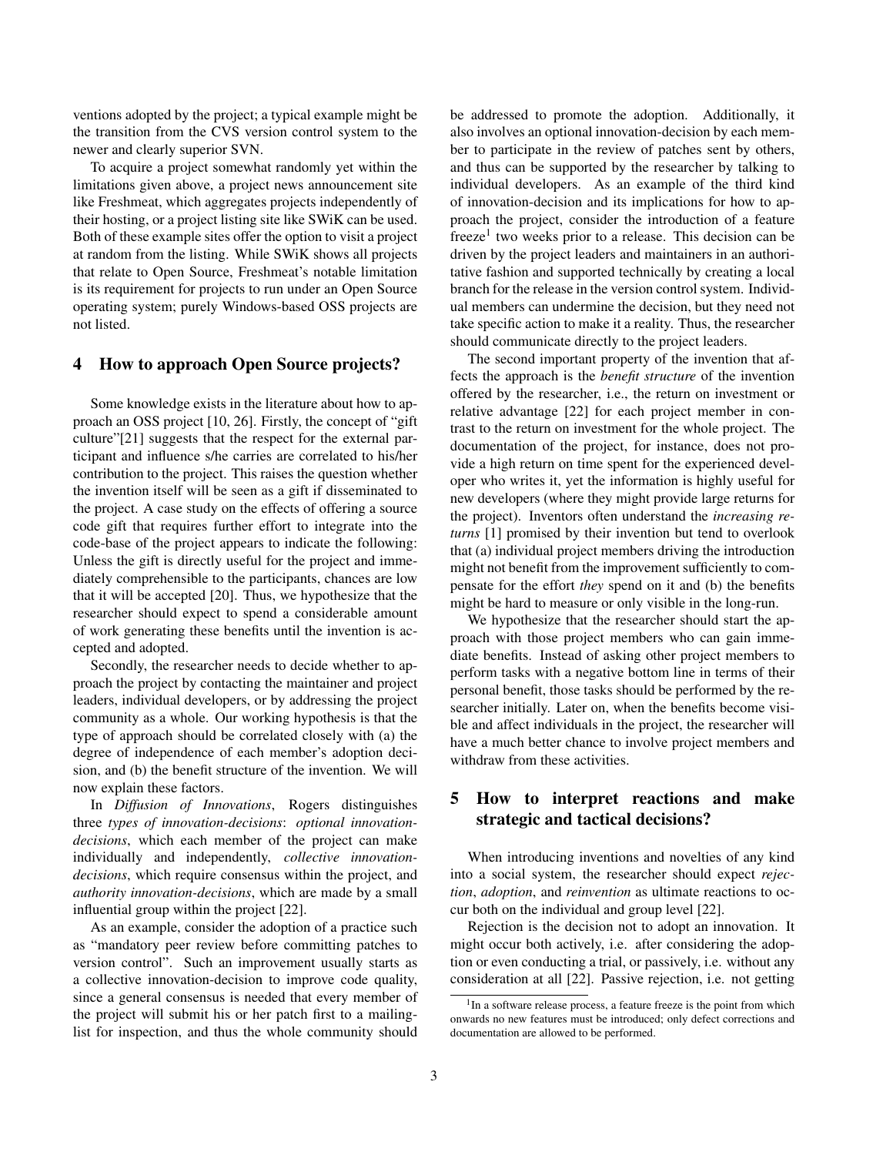ventions adopted by the project; a typical example might be the transition from the CVS version control system to the newer and clearly superior SVN.

To acquire a project somewhat randomly yet within the limitations given above, a project news announcement site like [Freshmeat,](http://www.freshmeat.net) which aggregates projects independently of their hosting, or a project listing site like [SWiK](http://swik.net) can be used. Both of these example sites offer the option to visit a project at random from the listing. While SWiK shows all projects that relate to Open Source, Freshmeat's notable limitation is its requirement for projects to run under an Open Source operating system; purely Windows-based OSS projects are not listed.

#### 4 How to approach Open Source projects?

Some knowledge exists in the literature about how to approach an OSS project [\[10,](#page-4-15) [26\]](#page-4-16). Firstly, the concept of "gift culture"[\[21\]](#page-4-17) suggests that the respect for the external participant and influence s/he carries are correlated to his/her contribution to the project. This raises the question whether the invention itself will be seen as a gift if disseminated to the project. A case study on the effects of offering a source code gift that requires further effort to integrate into the code-base of the project appears to indicate the following: Unless the gift is directly useful for the project and immediately comprehensible to the participants, chances are low that it will be accepted [\[20\]](#page-4-18). Thus, we hypothesize that the researcher should expect to spend a considerable amount of work generating these benefits until the invention is accepted and adopted.

Secondly, the researcher needs to decide whether to approach the project by contacting the maintainer and project leaders, individual developers, or by addressing the project community as a whole. Our working hypothesis is that the type of approach should be correlated closely with (a) the degree of independence of each member's adoption decision, and (b) the benefit structure of the invention. We will now explain these factors.

In *Diffusion of Innovations*, Rogers distinguishes three *types of innovation-decisions*: *optional innovationdecisions*, which each member of the project can make individually and independently, *collective innovationdecisions*, which require consensus within the project, and *authority innovation-decisions*, which are made by a small influential group within the project [\[22\]](#page-4-19).

As an example, consider the adoption of a practice such as "mandatory peer review before committing patches to version control". Such an improvement usually starts as a collective innovation-decision to improve code quality, since a general consensus is needed that every member of the project will submit his or her patch first to a mailinglist for inspection, and thus the whole community should be addressed to promote the adoption. Additionally, it also involves an optional innovation-decision by each member to participate in the review of patches sent by others, and thus can be supported by the researcher by talking to individual developers. As an example of the third kind of innovation-decision and its implications for how to approach the project, consider the introduction of a feature freeze<sup>[1](#page-2-0)</sup> two weeks prior to a release. This decision can be driven by the project leaders and maintainers in an authoritative fashion and supported technically by creating a local branch for the release in the version control system. Individual members can undermine the decision, but they need not take specific action to make it a reality. Thus, the researcher should communicate directly to the project leaders.

The second important property of the invention that affects the approach is the *benefit structure* of the invention offered by the researcher, i.e., the return on investment or relative advantage [\[22\]](#page-4-19) for each project member in contrast to the return on investment for the whole project. The documentation of the project, for instance, does not provide a high return on time spent for the experienced developer who writes it, yet the information is highly useful for new developers (where they might provide large returns for the project). Inventors often understand the *increasing returns* [\[1\]](#page-4-20) promised by their invention but tend to overlook that (a) individual project members driving the introduction might not benefit from the improvement sufficiently to compensate for the effort *they* spend on it and (b) the benefits might be hard to measure or only visible in the long-run.

We hypothesize that the researcher should start the approach with those project members who can gain immediate benefits. Instead of asking other project members to perform tasks with a negative bottom line in terms of their personal benefit, those tasks should be performed by the researcher initially. Later on, when the benefits become visible and affect individuals in the project, the researcher will have a much better chance to involve project members and withdraw from these activities.

### 5 How to interpret reactions and make strategic and tactical decisions?

When introducing inventions and novelties of any kind into a social system, the researcher should expect *rejection*, *adoption*, and *reinvention* as ultimate reactions to occur both on the individual and group level [\[22\]](#page-4-19).

Rejection is the decision not to adopt an innovation. It might occur both actively, i.e. after considering the adoption or even conducting a trial, or passively, i.e. without any consideration at all [\[22\]](#page-4-19). Passive rejection, i.e. not getting

<span id="page-2-0"></span><sup>&</sup>lt;sup>1</sup>In a software release process, a feature freeze is the point from which onwards no new features must be introduced; only defect corrections and documentation are allowed to be performed.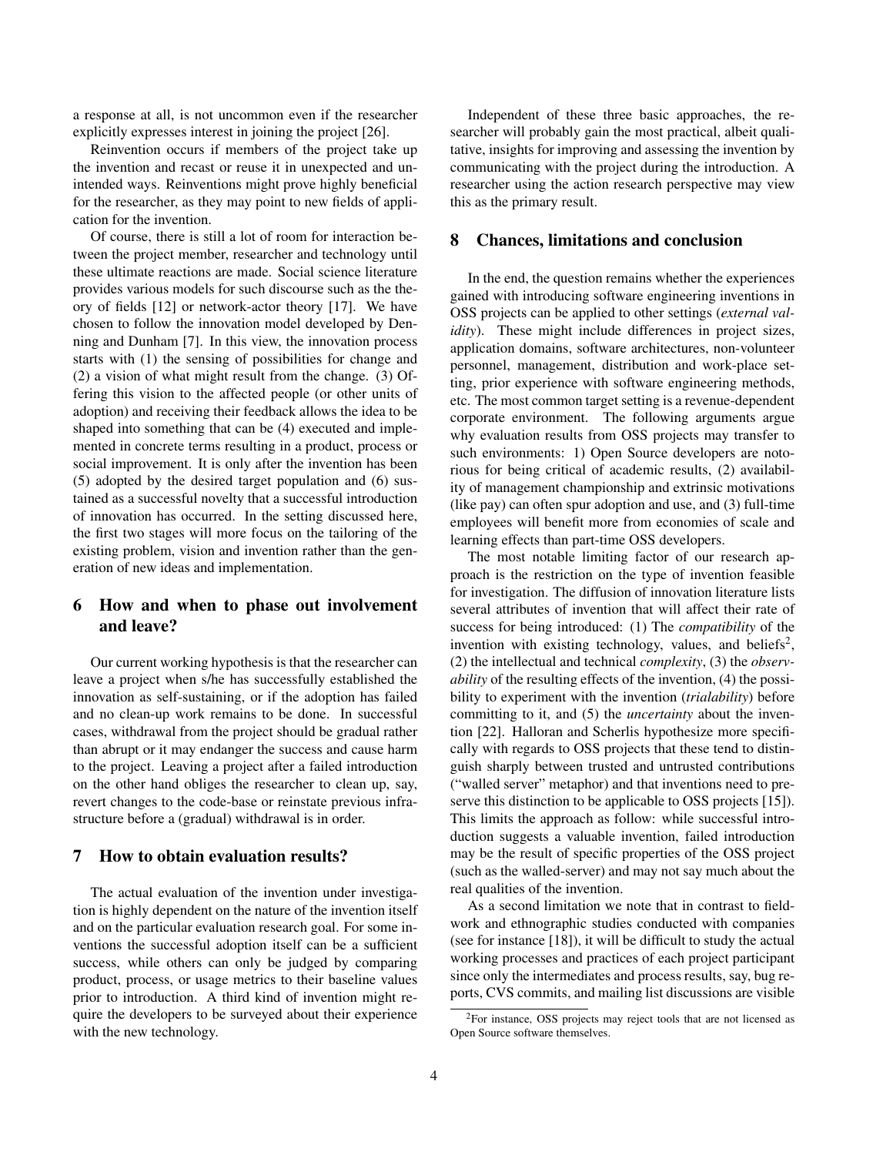a response at all, is not uncommon even if the researcher explicitly expresses interest in joining the project [\[26\]](#page-4-16).

Reinvention occurs if members of the project take up the invention and recast or reuse it in unexpected and unintended ways. Reinventions might prove highly beneficial for the researcher, as they may point to new fields of application for the invention.

Of course, there is still a lot of room for interaction between the project member, researcher and technology until these ultimate reactions are made. Social science literature provides various models for such discourse such as the theory of fields [\[12\]](#page-4-21) or network-actor theory [\[17\]](#page-4-22). We have chosen to follow the innovation model developed by Denning and Dunham [\[7\]](#page-4-3). In this view, the innovation process starts with (1) the sensing of possibilities for change and (2) a vision of what might result from the change. (3) Offering this vision to the affected people (or other units of adoption) and receiving their feedback allows the idea to be shaped into something that can be (4) executed and implemented in concrete terms resulting in a product, process or social improvement. It is only after the invention has been (5) adopted by the desired target population and (6) sustained as a successful novelty that a successful introduction of innovation has occurred. In the setting discussed here, the first two stages will more focus on the tailoring of the existing problem, vision and invention rather than the generation of new ideas and implementation.

## 6 How and when to phase out involvement and leave?

Our current working hypothesis is that the researcher can leave a project when s/he has successfully established the innovation as self-sustaining, or if the adoption has failed and no clean-up work remains to be done. In successful cases, withdrawal from the project should be gradual rather than abrupt or it may endanger the success and cause harm to the project. Leaving a project after a failed introduction on the other hand obliges the researcher to clean up, say, revert changes to the code-base or reinstate previous infrastructure before a (gradual) withdrawal is in order.

#### 7 How to obtain evaluation results?

The actual evaluation of the invention under investigation is highly dependent on the nature of the invention itself and on the particular evaluation research goal. For some inventions the successful adoption itself can be a sufficient success, while others can only be judged by comparing product, process, or usage metrics to their baseline values prior to introduction. A third kind of invention might require the developers to be surveyed about their experience with the new technology.

Independent of these three basic approaches, the researcher will probably gain the most practical, albeit qualitative, insights for improving and assessing the invention by communicating with the project during the introduction. A researcher using the action research perspective may view this as the primary result.

#### 8 Chances, limitations and conclusion

In the end, the question remains whether the experiences gained with introducing software engineering inventions in OSS projects can be applied to other settings (*external validity*). These might include differences in project sizes, application domains, software architectures, non-volunteer personnel, management, distribution and work-place setting, prior experience with software engineering methods, etc. The most common target setting is a revenue-dependent corporate environment. The following arguments argue why evaluation results from OSS projects may transfer to such environments: 1) Open Source developers are notorious for being critical of academic results, (2) availability of management championship and extrinsic motivations (like pay) can often spur adoption and use, and (3) full-time employees will benefit more from economies of scale and learning effects than part-time OSS developers.

The most notable limiting factor of our research approach is the restriction on the type of invention feasible for investigation. The diffusion of innovation literature lists several attributes of invention that will affect their rate of success for being introduced: (1) The *compatibility* of the invention with existing technology, values, and beliefs<sup>[2](#page-3-0)</sup>, (2) the intellectual and technical *complexity*, (3) the *observability* of the resulting effects of the invention, (4) the possibility to experiment with the invention (*trialability*) before committing to it, and (5) the *uncertainty* about the invention [\[22\]](#page-4-19). Halloran and Scherlis hypothesize more specifically with regards to OSS projects that these tend to distinguish sharply between trusted and untrusted contributions ("walled server" metaphor) and that inventions need to preserve this distinction to be applicable to OSS projects [\[15\]](#page-4-23)). This limits the approach as follow: while successful introduction suggests a valuable invention, failed introduction may be the result of specific properties of the OSS project (such as the walled-server) and may not say much about the real qualities of the invention.

As a second limitation we note that in contrast to fieldwork and ethnographic studies conducted with companies (see for instance [\[18\]](#page-4-24)), it will be difficult to study the actual working processes and practices of each project participant since only the intermediates and process results, say, bug reports, CVS commits, and mailing list discussions are visible

<span id="page-3-0"></span><sup>2</sup>For instance, OSS projects may reject tools that are not licensed as Open Source software themselves.